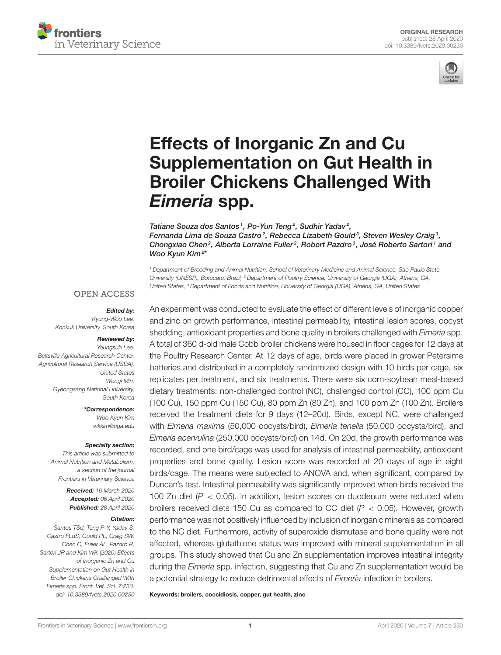



# Effects of Inorganic Zn and Cu [Supplementation on Gut Health in](https://www.frontiersin.org/articles/10.3389/fvets.2020.00230/full) Broiler Chickens Challenged With *Eimeria* spp.

[Tatiane Souza dos Santos](http://loop.frontiersin.org/people/932685/overview)<sup>1</sup>, [Po-Yun Teng](http://loop.frontiersin.org/people/569301/overview)<sup>2</sup>, Sudhir Yadav<sup>2</sup>, [Fernanda Lima de Souza Castro](http://loop.frontiersin.org/people/937702/overview) $^2$ , [Rebecca Lizabeth Gould](http://loop.frontiersin.org/people/942629/overview) $^3$ , Steven Wesley Craig $^3\!$ , Chongxiao Chen<sup>2</sup>, Alberta Lorraine Fuller<sup>2</sup>, Robert Pazdro<sup>3</sup>, José Roberto Sartori<sup>1</sup> and [Woo Kyun Kim](http://loop.frontiersin.org/people/407042/overview)<sup>2</sup> \*

<sup>1</sup> Department of Breeding and Animal Nutrition, School of Veterinary Medicine and Animal Science, São Paulo State University (UNESP), Botucatu, Brazil, <sup>2</sup> Department of Poultry Science, University of Georgia (UGA), Athens, GA, United States, <sup>3</sup> Department of Foods and Nutrition, University of Georgia (UGA), Athens, GA, United States

#### **OPEN ACCESS**

#### *Edited by:*

Kyung-Woo Lee, Konkuk University, South Korea

#### *Reviewed by:*

Youngsub Lee, Beltsville Agricultural Research Center, Agricultural Research Service (USDA), United States Wongi Min, Gyeongsang National University, South Korea

> *\*Correspondence:* Woo Kyun Kim [wkkim@uga.edu](mailto:wkkim@uga.edu)

#### *Specialty section:*

This article was submitted to Animal Nutrition and Metabolism, a section of the journal Frontiers in Veterinary Science

> *Received:* 16 March 2020 *Accepted:* 06 April 2020 *Published:* 28 April 2020

#### *Citation:*

Santos TSd, Teng P-Y, Yadav S, Castro FLdS, Gould RL, Craig SW, Chen C, Fuller AL, Pazdro R, Sartori JR and Kim WK (2020) Effects of Inorganic Zn and Cu Supplementation on Gut Health in Broiler Chickens Challenged With Eimeria spp. Front. Vet. Sci. 7:230. doi: [10.3389/fvets.2020.00230](https://doi.org/10.3389/fvets.2020.00230) An experiment was conducted to evaluate the effect of different levels of inorganic copper and zinc on growth performance, intestinal permeability, intestinal lesion scores, oocyst shedding, antioxidant properties and bone quality in broilers challenged with *Eimeria* spp. A total of 360 d-old male Cobb broiler chickens were housed in floor cages for 12 days at the Poultry Research Center. At 12 days of age, birds were placed in grower Petersime batteries and distributed in a completely randomized design with 10 birds per cage, six replicates per treatment, and six treatments. There were six corn-soybean meal-based dietary treatments: non-challenged control (NC), challenged control (CC), 100 ppm Cu (100 Cu), 150 ppm Cu (150 Cu), 80 ppm Zn (80 Zn), and 100 ppm Zn (100 Zn). Broilers received the treatment diets for 9 days (12–20d). Birds, except NC, were challenged with Eimeria maxima (50,000 oocysts/bird), Eimeria tenella (50,000 oocysts/bird), and Eimeria acervulina (250,000 oocysts/bird) on 14d. On 20d, the growth performance was recorded, and one bird/cage was used for analysis of intestinal permeability, antioxidant properties and bone quality. Lesion score was recorded at 20 days of age in eight birds/cage. The means were subjected to ANOVA and, when significant, compared by Duncan's test. Intestinal permeability was significantly improved when birds received the 100 Zn diet ( $P < 0.05$ ). In addition, lesion scores on duodenum were reduced when broilers received diets 150 Cu as compared to CC diet  $(P < 0.05)$ . However, growth performance was not positively influenced by inclusion of inorganic minerals as compared to the NC diet. Furthermore, activity of superoxide dismutase and bone quality were not affected, whereas glutathione status was improved with mineral supplementation in all groups. This study showed that Cu and Zn supplementation improves intestinal integrity during the *Eimeria* spp. infection, suggesting that Cu and Zn supplementation would be a potential strategy to reduce detrimental effects of Eimeria infection in broilers.

Keywords: broilers, coccidiosis, copper, gut health, zinc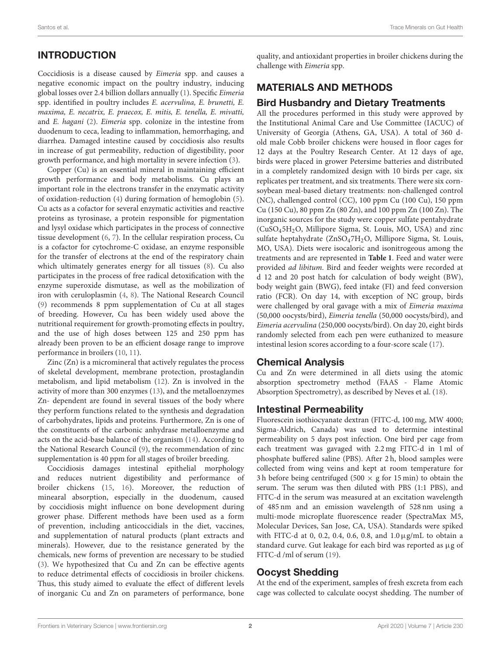# INTRODUCTION

Coccidiosis is a disease caused by Eimeria spp. and causes a negative economic impact on the poultry industry, inducing global losses over 2.4 billion dollars annually [\(1\)](#page-6-0). Specific Eimeria spp. identified in poultry includes E. acervulina, E. brunetti, E. maxima, E. necatrix, E. praecox, E. mitis, E. tenella, E. mivatti, and E. hagani [\(2\)](#page-6-1). Eimeria spp. colonize in the intestine from duodenum to ceca, leading to inflammation, hemorrhaging, and diarrhea. Damaged intestine caused by coccidiosis also results in increase of gut permeability, reduction of digestibility, poor growth performance, and high mortality in severe infection [\(3\)](#page-6-2).

Copper (Cu) is an essential mineral in maintaining efficient growth performance and body metabolisms. Cu plays an important role in the electrons transfer in the enzymatic activity of oxidation-reduction [\(4\)](#page-6-3) during formation of hemoglobin [\(5\)](#page-6-4). Cu acts as a cofactor for several enzymatic activities and reactive proteins as tyrosinase, a protein responsible for pigmentation and lysyl oxidase which participates in the process of connective tissue development [\(6,](#page-6-5) [7\)](#page-6-6). In the cellular respiration process, Cu is a cofactor for cytochrome-C oxidase, an enzyme responsible for the transfer of electrons at the end of the respiratory chain which ultimately generates energy for all tissues [\(8\)](#page-6-7). Cu also participates in the process of free radical detoxification with the enzyme superoxide dismutase, as well as the mobilization of iron with ceruloplasmin [\(4,](#page-6-3) [8\)](#page-6-7). The National Research Council [\(9\)](#page-6-8) recommends 8 ppm supplementation of Cu at all stages of breeding. However, Cu has been widely used above the nutritional requirement for growth-promoting effects in poultry, and the use of high doses between 125 and 250 ppm has already been proven to be an efficient dosage range to improve performance in broilers [\(10,](#page-6-9) [11\)](#page-6-10).

Zinc (Zn) is a micromineral that actively regulates the process of skeletal development, membrane protection, prostaglandin metabolism, and lipid metabolism [\(12\)](#page-6-11). Zn is involved in the activity of more than 300 enzymes [\(13\)](#page-6-12), and the metalloenzymes Zn- dependent are found in several tissues of the body where they perform functions related to the synthesis and degradation of carbohydrates, lipids and proteins. Furthermore, Zn is one of the constituents of the carbonic anhydrase metalloenzyme and acts on the acid-base balance of the organism [\(14\)](#page-6-13). According to the National Research Council [\(9\)](#page-6-8), the recommendation of zinc supplementation is 40 ppm for all stages of broiler breeding.

Coccidiosis damages intestinal epithelial morphology and reduces nutrient digestibility and performance of broiler chickens [\(15,](#page-6-14) [16\)](#page-6-15). Moreover, the reduction of minearal absorption, especially in the duodenum, caused by coccidiosis might influence on bone development during grower phase. Different methods have been used as a form of prevention, including anticoccidials in the diet, vaccines, and supplementation of natural products (plant extracts and minerals). However, due to the resistance generated by the chemicals, new forms of prevention are necessary to be studied [\(3\)](#page-6-2). We hypothesized that Cu and Zn can be effective agents to reduce detrimental effects of coccidiosis in broiler chickens. Thus, this study aimed to evaluate the effect of different levels of inorganic Cu and Zn on parameters of performance, bone quality, and antioxidant properties in broiler chickens during the challenge with Eimeria spp.

# MATERIALS AND METHODS

#### Bird Husbandry and Dietary Treatments

All the procedures performed in this study were approved by the Institutional Animal Care and Use Committee (IACUC) of University of Georgia (Athens, GA, USA). A total of 360 dold male Cobb broiler chickens were housed in floor cages for 12 days at the Poultry Research Center. At 12 days of age, birds were placed in grower Petersime batteries and distributed in a completely randomized design with 10 birds per cage, six replicates per treatment, and six treatments. There were six cornsoybean meal-based dietary treatments: non-challenged control (NC), challenged control (CC), 100 ppm Cu (100 Cu), 150 ppm Cu (150 Cu), 80 ppm Zn (80 Zn), and 100 ppm Zn (100 Zn). The inorganic sources for the study were copper sulfate pentahydrate (CuSO45H2O, Millipore Sigma, St. Louis, MO, USA) and zinc sulfate heptahydrate (ZnSO47H2O, Millipore Sigma, St. Louis, MO, USA). Diets were isocaloric and isonitrogeous among the treatments and are represented in **[Table 1](#page-2-0)**. Feed and water were provided ad libitum. Bird and feeder weights were recorded at d 12 and 20 post hatch for calculation of body weight (BW), body weight gain (BWG), feed intake (FI) and feed conversion ratio (FCR). On day 14, with exception of NC group, birds were challenged by oral gavage with a mix of Eimeria maxima (50,000 oocysts/bird), Eimeria tenella (50,000 oocysts/bird), and Eimeria acervulina (250,000 oocysts/bird). On day 20, eight birds randomly selected from each pen were euthanized to measure intestinal lesion scores according to a four-score scale [\(17\)](#page-6-16).

## Chemical Analysis

Cu and Zn were determined in all diets using the atomic absorption spectrometry method (FAAS - Flame Atomic Absorption Spectrometry), as described by Neves et al. [\(18\)](#page-6-17).

## Intestinal Permeability

Fluorescein isothiocyanate dextran (FITC-d, 100 mg, MW 4000; Sigma-Aldrich, Canada) was used to determine intestinal permeability on 5 days post infection. One bird per cage from each treatment was gavaged with 2.2 mg FITC-d in 1 ml of phosphate buffered saline (PBS). After 2 h, blood samples were collected from wing veins and kept at room temperature for 3 h before being centrifuged (500  $\times$  g for 15 min) to obtain the serum. The serum was then diluted with PBS (1:1 PBS), and FITC-d in the serum was measured at an excitation wavelength of 485 nm and an emission wavelength of 528 nm using a multi-mode microplate fluorescence reader (SpectraMax M5, Molecular Devices, San Jose, CA, USA). Standards were spiked with FITC-d at 0, 0.2, 0.4, 0.6, 0.8, and 1.0µg/mL to obtain a standard curve. Gut leakage for each bird was reported as µg of FITC-d /ml of serum [\(19\)](#page-6-18).

## Oocyst Shedding

At the end of the experiment, samples of fresh excreta from each cage was collected to calculate oocyst shedding. The number of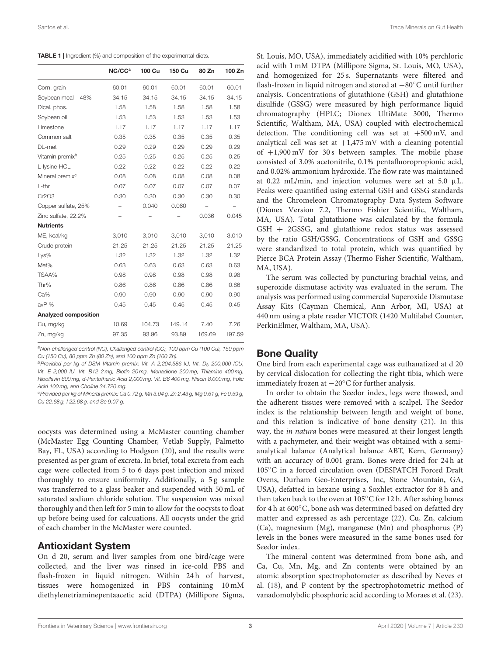<span id="page-2-0"></span>

|  |  |  |  |  | TABLE 1   Ingredient (%) and composition of the experimental diets. |  |
|--|--|--|--|--|---------------------------------------------------------------------|--|
|--|--|--|--|--|---------------------------------------------------------------------|--|

|                             | NC/CC <sup>a</sup> | 100 Cu | 150 Cu | 80 Zn  | 100 Zn |
|-----------------------------|--------------------|--------|--------|--------|--------|
| Corn, grain                 | 60.01              | 60.01  | 60.01  | 60.01  | 60.01  |
| Soybean meal -48%           | 34.15              | 34.15  | 34.15  | 34.15  | 34.15  |
| Dical. phos.                | 1.58               | 1.58   | 1.58   | 1.58   | 1.58   |
| Soybean oil                 | 1.53               | 1.53   | 1.53   | 1.53   | 1.53   |
| Limestone                   | 1.17               | 1.17   | 1.17   | 1.17   | 1.17   |
| Common salt                 | 0.35               | 0.35   | 0.35   | 0.35   | 0.35   |
| DL-met                      | 0.29               | 0.29   | 0.29   | 0.29   | 0.29   |
| Vitamin premix <sup>b</sup> | 0.25               | 0.25   | 0.25   | 0.25   | 0.25   |
| L-lysine-HCL                | 0.22               | 0.22   | 0.22   | 0.22   | 0.22   |
| Mineral premix <sup>c</sup> | 0.08               | 0.08   | 0.08   | 0.08   | 0.08   |
| $L$ -thr                    | 0.07               | 0.07   | 0.07   | 0.07   | 0.07   |
| Cr2O3                       | 0.30               | 0.30   | 0.30   | 0.30   | 0.30   |
| Copper sulfate, 25%         |                    | 0.040  | 0.060  |        |        |
| Zinc sulfate, 22.2%         |                    |        |        | 0.036  | 0.045  |
| <b>Nutrients</b>            |                    |        |        |        |        |
| ME, kcal/kg                 | 3,010              | 3,010  | 3.010  | 3.010  | 3,010  |
| Crude protein               | 21.25              | 21.25  | 21.25  | 21.25  | 21.25  |
| Lys%                        | 1.32               | 1.32   | 1.32   | 1.32   | 1.32   |
| Met%                        | 0.63               | 0.63   | 0.63   | 0.63   | 0.63   |
| TSAA%                       | 0.98               | 0.98   | 0.98   | 0.98   | 0.98   |
| Thr%                        | 0.86               | 0.86   | 0.86   | 0.86   | 0.86   |
| Ca%                         | 0.90               | 0.90   | 0.90   | 0.90   | 0.90   |
| avP %                       | 0.45               | 0.45   | 0.45   | 0.45   | 0.45   |
| Analyzed composition        |                    |        |        |        |        |
| Cu, mg/kg                   | 10.69              | 104.73 | 149.14 | 7.40   | 7.26   |
| Zn, mg/kg                   | 97.35              | 93.96  | 93.89  | 169.69 | 197.59 |

aNon-challenged control (NC), Challenged control (CC), 100 ppm Cu (100 Cu), 150 ppm Cu (150 Cu), 80 ppm Zn (80 Zn), and 100 ppm Zn (100 Zn).

 $b$  Provided per kg of DSM Vitamin premix: Vit. A 2,204,586 IU, Vit. D<sub>3</sub> 200,000 ICU, Vit. E 2,000 IU, Vit. B12 2 mg, Biotin 20 mg, Menadione 200 mg, Thiamine 400 mg, Riboflavin 800 mg, d-Pantothenic Acid 2,000 mg, Vit. B6 400 mg, Niacin 8,000 mg, Folic Acid 100 mg, and Choline 34,720 mg.

<sup>c</sup> Provided per kg of Mineral premix: Ca 0.72 g, Mn 3.04 g, Zn 2.43 g, Mg 0.61 g, Fe 0.59 g, Cu 22.68 g, I 22.68 g, and Se 9.07 g.

oocysts was determined using a McMaster counting chamber (McMaster Egg Counting Chamber, Vetlab Supply, Palmetto Bay, FL, USA) according to Hodgson [\(20\)](#page-6-19), and the results were presented as per gram of excreta. In brief, total excreta from each cage were collected from 5 to 6 days post infection and mixed thoroughly to ensure uniformity. Additionally, a 5g sample was transferred to a glass beaker and suspended with 50 mL of saturated sodium chloride solution. The suspension was mixed thoroughly and then left for 5 min to allow for the oocysts to float up before being used for calcuations. All oocysts under the grid of each chamber in the McMaster were counted.

#### Antioxidant System

On d 20, serum and liver samples from one bird/cage were collected, and the liver was rinsed in ice-cold PBS and flash-frozen in liquid nitrogen. Within 24h of harvest, tissues were homogenized in PBS containing 10 mM diethylenetriaminepentaacetic acid (DTPA) (Millipore Sigma,

St. Louis, MO, USA), immediately acidified with 10% perchloric acid with 1 mM DTPA (Millipore Sigma, St. Louis, MO, USA), and homogenized for 25 s. Supernatants were filtered and flash-frozen in liquid nitrogen and stored at −80◦C until further analysis. Concentrations of glutathione (GSH) and glutathione disulfide (GSSG) were measured by high performance liquid chromatography (HPLC; Dionex UltiMate 3000, Thermo Scientific, Waltham, MA, USA) coupled with electrochemical detection. The conditioning cell was set at  $+500 \text{ mV}$ , and analytical cell was set at  $+1,475$  mV with a cleaning potential of  $+1,900$  mV for 30 s between samples. The mobile phase consisted of 3.0% acetonitrile, 0.1% pentafluoropropionic acid, and 0.02% ammonium hydroxide. The flow rate was maintained at 0.22 mL/min, and injection volumes were set at 5.0  $\mu$ L. Peaks were quantified using external GSH and GSSG standards and the Chromeleon Chromatography Data System Software (Dionex Version 7.2, Thermo Fishier Scientific, Waltham, MA, USA). Total glutathione was calculated by the formula GSH + 2GSSG, and glutathione redox status was assessed by the ratio GSH/GSSG. Concentrations of GSH and GSSG were standardized to total protein, which was quantified by Pierce BCA Protein Assay (Thermo Fisher Scientific, Waltham, MA, USA).

The serum was collected by puncturing brachial veins, and superoxide dismutase activity was evaluated in the serum. The analysis was performed using commercial Superoxide Dismutase Assay Kits (Cayman Chemical, Ann Arbor, MI, USA) at 440 nm using a plate reader VICTOR (1420 Multilabel Counter, PerkinElmer, Waltham, MA, USA).

#### Bone Quality

One bird from each experimental cage was euthanatized at d 20 by cervical dislocation for collecting the right tibia, which were immediately frozen at −20◦C for further analysis.

In order to obtain the Seedor index, legs were thawed, and the adherent tissues were removed with a scalpel. The Seedor index is the relationship between length and weight of bone, and this relation is indicative of bone density [\(21\)](#page-6-20). In this way, the in natura bones were measured at their longest length with a pachymeter, and their weight was obtained with a semianalytical balance (Analytical balance ABT, Kern, Germany) with an accuracy of 0.001 gram. Bones were dried for 24 h at 105◦C in a forced circulation oven (DESPATCH Forced Draft Ovens, Durham Geo-Enterprises, Inc, Stone Mountain, GA, USA), defatted in hexane using a Soxhlet extractor for 8 h and then taken back to the oven at 105◦C for 12 h. After ashing bones for 4 h at 600◦C, bone ash was determined based on defatted dry matter and expressed as ash percentage [\(22\)](#page-6-21). Cu, Zn, calcium (Ca), magnesium (Mg), manganese (Mn) and phosphorus (P) levels in the bones were measured in the same bones used for Seedor index.

The mineral content was determined from bone ash, and Ca, Cu, Mn, Mg, and Zn contents were obtained by an atomic absorption spectrophotometer as described by Neves et al. [\(18\)](#page-6-17), and P content by the spectrophotometric method of vanadomolybdic phosphoric acid according to Moraes et al. [\(23\)](#page-6-22).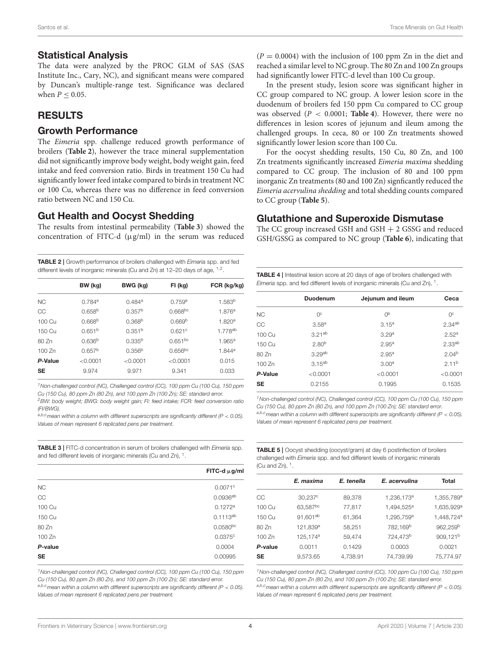#### Statistical Analysis

The data were analyzed by the PROC GLM of SAS (SAS Institute Inc., Cary, NC), and significant means were compared by Duncan's multiple-range test. Significance was declared when  $P \leq 0.05$ .

## **RESULTS**

## Growth Performance

The Eimeria spp. challenge reduced growth performance of broilers (**[Table 2](#page-3-0)**), however the trace mineral supplementation did not significantly improve body weight, body weight gain, feed intake and feed conversion ratio. Birds in treatment 150 Cu had significantly lower feed intake compared to birds in treatment NC or 100 Cu, whereas there was no difference in feed conversion ratio between NC and 150 Cu.

## Gut Health and Oocyst Shedding

The results from intestinal permeability (**[Table 3](#page-3-1)**) showed the concentration of FITC-d  $(\mu g/ml)$  in the serum was reduced

<span id="page-3-0"></span>TABLE 2 | Growth performance of broilers challenged with Eimeria spp. and fed different levels of inorganic minerals (Cu and Zn) at 12–20 days of age, <sup>1,2</sup>.

|           | BW (kg)              | BWG (kg)             | FI (kg)            | FCR (kg/kg)          |
|-----------|----------------------|----------------------|--------------------|----------------------|
| NC.       | $0.784$ <sup>a</sup> | $0.484$ <sup>a</sup> | 0.759 <sup>a</sup> | 1.583 <sup>b</sup>   |
| CC        | 0.658 <sup>b</sup>   | 0.357 <sup>b</sup>   | $0.668^{bc}$       | 1.876 <sup>a</sup>   |
| 100 Cu    | 0.668 <sup>b</sup>   | 0.368 <sup>b</sup>   | 0.669 <sup>b</sup> | 1.820 <sup>a</sup>   |
| 150 Cu    | 0.651 <sup>b</sup>   | 0.351 <sup>b</sup>   | 0.621c             | 1 778 <sup>ab</sup>  |
| 80 Zn     | 0.636 <sup>b</sup>   | $0.335^{b}$          | $0.651^{bc}$       | $1.965^a$            |
| 100 Zn    | 0.657 <sup>b</sup>   | 0.356 <sup>b</sup>   | $0.656$ bc         | $1.844$ <sup>a</sup> |
| P-Value   | < 0.0001             | < 0.0001             | < 0.0001           | 0.015                |
| <b>SE</b> | 9.974                | 9.971                | 9.341              | 0.033                |
|           |                      |                      |                    |                      |

<sup>1</sup>Non-challenged control (NC), Challenged control (CC), 100 ppm Cu (100 Cu), 150 ppm Cu (150 Cu), 80 ppm Zn (80 Zn), and 100 ppm Zn (100 Zn); SE: standard error.

<sup>2</sup>BW: body weight; BWG: body weight gain; Fl: feed intake; FCR: feed conversion ratio (FI/BWG).

a,b,c<sub>mean</sub> within a column with different superscripts are significantly different (P < 0.05). Values of mean represent 6 replicated pens per treatment.

<span id="page-3-1"></span>**TABLE 3** | FITC-d concentration in serum of broilers challenged with *Eimeria* spp. and fed different levels of inorganic minerals (Cu and Zn),  $^1$ .

|           | FITC-d $\mu$ g/ml |
|-----------|-------------------|
| <b>NC</b> | $0.0071^{\circ}$  |
| CC        | $0.0936^{ab}$     |
| 100 Cu    | 0.1272a           |
| 150 Cu    | $0.1113^{ab}$     |
| 80 Zn     | $0.0580^{bc}$     |
| 100 Zn    | 0.0375c           |
| P-value   | 0.0004            |
| <b>SE</b> | 0.00995           |

<sup>1</sup>Non-challenged control (NC), Challenged control (CC), 100 ppm Cu (100 Cu), 150 ppm Cu (150 Cu), 80 ppm Zn (80 Zn), and 100 ppm Zn (100 Zn); SE: standard error. a,b,c mean within a column with different superscripts are significantly different ( $P < 0.05$ ). Values of mean represent 6 replicated pens per treatment.

 $(P = 0.0004)$  with the inclusion of 100 ppm Zn in the diet and reached a similar level to NC group. The 80 Zn and 100 Zn groups had significantly lower FITC-d level than 100 Cu group.

In the present study, lesion score was significant higher in CC group compared to NC group. A lower lesion score in the duodenum of broilers fed 150 ppm Cu compared to CC group was observed (P < 0.0001; **[Table 4](#page-3-2)**). However, there were no differences in lesion scores of jejunum and ileum among the challenged groups. In ceca, 80 or 100 Zn treatments showed significantly lower lesion score than 100 Cu.

For the oocyst shedding results, 150 Cu, 80 Zn, and 100 Zn treatments significantly increased Eimeria maxima shedding compared to CC group. The inclusion of 80 and 100 ppm inorganic Zn treatments (80 and 100 Zn) signficantly reduced the Eimeria acervulina shedding and total shedding counts compared to CC group (**[Table 5](#page-3-3)**).

## Glutathione and Superoxide Dismutase

The CC group increased GSH and GSH + 2 GSSG and reduced GSH/GSSG as compared to NC group (**[Table 6](#page-4-0)**), indicating that

<span id="page-3-2"></span>

| <b>TABLE 4</b>   Intestinal lesion score at 20 days of age of broilers challenged with |
|----------------------------------------------------------------------------------------|
| <i>Eimeria</i> spp. and fed different levels of inorganic minerals (Cu and Zn), $^1$ . |

|           | Duodenum           | Jejunum and ileum | Ceca               |
|-----------|--------------------|-------------------|--------------------|
| <b>NC</b> | O <sub>c</sub>     | 0 <sub>p</sub>    | 0 <sup>c</sup>     |
| CC        | 3.58 <sup>a</sup>  | 3.15 <sup>a</sup> | 2.34ab             |
| 100 Cu    | $3.21^{ab}$        | 3.29 <sup>a</sup> | 2.52 <sup>a</sup>  |
| 150 Cu    | $2.80^{b}$         | 2.95 <sup>a</sup> | 2.33 <sup>ab</sup> |
| 80 Zn     | 3.29 <sup>ab</sup> | 2.95 <sup>a</sup> | 2.04 <sup>b</sup>  |
| 100 Zn    | $3.15^{ab}$        | 3.00 <sup>a</sup> | 2.11 <sup>b</sup>  |
| P-Value   | < 0.0001           | < 0.0001          | < 0.0001           |
| <b>SE</b> | 0.2155             | 0.1995            | 0.1535             |

<sup>1</sup>Non-challenged control (NC), Challenged control (CC), 100 ppm Cu (100 Cu), 150 ppm Cu (150 Cu), 80 ppm Zn (80 Zn), and 100 ppm Zn (100 Zn); SE: standard error. a,b,c mean within a column with different superscripts are significantly different ( $P < 0.05$ ). Values of mean represent 6 replicated pens per treatment.

<span id="page-3-3"></span>TABLE 5 | Oocyst shedding (oocyst/gram) at day 6 postinfection of broilers challenged with Eimeria spp. and fed different levels of inorganic minerals (Cu and Zn),  $1$ .

|           | E. maxima            | E. tenella | E. acervulina          | Total                  |
|-----------|----------------------|------------|------------------------|------------------------|
| CC        | $30,237^c$           | 89,378     | 1,236,173 <sup>a</sup> | 1,355,789 <sup>a</sup> |
| 100 Cu    | 63,587bc             | 77,817     | 1,494,525 <sup>a</sup> | 1,635,929 <sup>a</sup> |
| 150 Cu    | 91,601ab             | 61,364     | 1,295,759 <sup>a</sup> | 1,448,724 <sup>a</sup> |
| 80 Zn     | 121,839 <sup>a</sup> | 58,251     | 782,169 <sup>b</sup>   | 962,259 <sup>b</sup>   |
| 100 Zn    | 125,174 <sup>a</sup> | 59.474     | 724,473 <sup>b</sup>   | 909,121 <sup>b</sup>   |
| P-value   | 0.0011               | 0.1429     | 0.0003                 | 0.0021                 |
| <b>SE</b> | 9.573.65             | 4.738.91   | 74.739.99              | 75.774.97              |
|           |                      |            |                        |                        |

<sup>1</sup>Non-challenged control (NC), Challenged control (CC), 100 ppm Cu (100 Cu), 150 ppm Cu (150 Cu), 80 ppm Zn (80 Zn), and 100 ppm Zn (100 Zn); SE: standard error. a,b,c mean within a column with different superscripts are significantly different ( $P < 0.05$ ). Values of mean represent 6 replicated pens per treatment.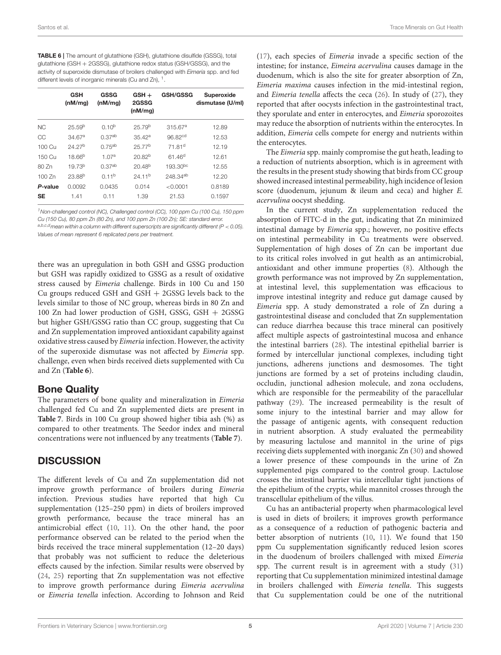<span id="page-4-0"></span>TABLE 6 | The amount of glutathione (GSH), glutathione disulfide (GSSG), total glutathione (GSH + 2GSSG), glutathione redox status (GSH/GSSG), and the activity of superoxide dismutase of broilers challenged with Eimeria spp. and fed different levels of inorganic minerals (Cu and Zn),  $^1$ .

|           | <b>GSH</b><br>(nM/mq) | GSSG<br>(nM/mq)    | $GSH +$<br>2GSSG<br>(nM/mq) | <b>GSH/GSSG</b>      | Superoxide<br>dismutase (U/ml) |
|-----------|-----------------------|--------------------|-----------------------------|----------------------|--------------------------------|
| <b>NC</b> | 25.59 <sup>b</sup>    | $0.10^{b}$         | 25.79 <sup>b</sup>          | 315.67 <sup>a</sup>  | 12.89                          |
| CC        | 34.67 <sup>a</sup>    | 0.37 <sup>ab</sup> | 35.42a                      | 96.82 <sup>cd</sup>  | 12.53                          |
| 100 Cu    | 24 27 <sup>b</sup>    | $0.75^{ab}$        | 25 77 <sup>b</sup>          | 71 81 <sup>d</sup>   | 12.19                          |
| 150 Cu    | $18.66^{b}$           | 1.07 <sup>a</sup>  | 20.82 <sup>b</sup>          | $61.46^{d}$          | 12.61                          |
| 80 Zn     | 19.73 <sup>b</sup>    | 0.37 <sup>ab</sup> | $20.48^{b}$                 | $193.30^{bc}$        | 12.55                          |
| 100 Zn    | 23.88 <sup>b</sup>    | $0.11^{b}$         | 24.11 <sup>b</sup>          | 248.34 <sup>ab</sup> | 12.20                          |
| P-value   | 0.0092                | 0.0435             | 0.014                       | < 0.0001             | 0.8189                         |
| <b>SE</b> | 1.41                  | 0.11               | 1.39                        | 21.53                | 0.1597                         |
|           |                       |                    |                             |                      |                                |

<sup>1</sup>Non-challenged control (NC), Challenged control (CC), 100 ppm Cu (100 Cu), 150 ppm Cu (150 Cu), 80 ppm Zn (80 Zn), and 100 ppm Zn (100 Zn); SE: standard error. a,b,c,d mean within a column with different superscripts are significantly different ( $P < 0.05$ ). Values of mean represent 6 replicated pens per treatment.

there was an upregulation in both GSH and GSSG production but GSH was rapidly oxidized to GSSG as a result of oxidative stress caused by Eimeria challenge. Birds in 100 Cu and 150 Cu groups reduced GSH and GSH + 2GSSG levels back to the levels similar to those of NC group, whereas birds in 80 Zn and 100 Zn had lower production of GSH, GSSG, GSH + 2GSSG but higher GSH/GSSG ratio than CC group, suggesting that Cu and Zn supplementation improved antioxidant capability against oxidative stress caused by Eimeria infection. However, the activity of the superoxide dismutase was not affected by Eimeria spp. challenge, even when birds received diets supplemented with Cu and Zn (**[Table 6](#page-4-0)**).

## Bone Quality

The parameters of bone quality and mineralization in Eimeria challenged fed Cu and Zn supplemented diets are present in **[Table 7](#page-5-0)**. Birds in 100 Cu group showed higher tibia ash (%) as compared to other treatments. The Seedor index and mineral concentrations were not influenced by any treatments (**[Table 7](#page-5-0)**).

## **DISCUSSION**

The different levels of Cu and Zn supplementation did not improve growth performance of broilers during Eimeria infection. Previous studies have reported that high Cu supplementation (125–250 ppm) in diets of broilers improved growth performance, because the trace mineral has an antimicrobial effect [\(10,](#page-6-9) [11\)](#page-6-10). On the other hand, the poor performance observed can be related to the period when the birds received the trace mineral supplementation (12–20 days) that probably was not sufficient to reduce the deleterious effects caused by the infection. Similar results were observed by [\(24,](#page-6-23) [25\)](#page-6-24) reporting that Zn supplementation was not effective to improve growth performance during Eimeria acervulina or Eimeria tenella infection. According to Johnson and Reid [\(17\)](#page-6-16), each species of Eimeria invade a specific section of the intestine; for instance, Eimeira acervulina causes damage in the duodenum, which is also the site for greater absorption of Zn, Eimeria maxima causes infection in the mid-intestinal region, and Eimeria tenella affects the ceca [\(26\)](#page-6-25). In study of [\(27\)](#page-6-26), they reported that after oocysts infection in the gastrointestinal tract, they sporulate and enter in enterocytes, and Eimeria sporozoites may reduce the absorption of nutrients within the enterocytes. In addition, Eimeria cells compete for energy and nutrients within the enterocytes.

The Eimeria spp. mainly compromise the gut heath, leading to a reduction of nutrients absorption, which is in agreement with the results in the present study showing that birds from CC group showed increased intestinal permeability, high incidence of lesion score (duodenum, jejunum & ileum and ceca) and higher E. acervulina oocyst shedding.

In the current study, Zn supplementation reduced the absorption of FITC-d in the gut, indicating that Zn minimized intestinal damage by Eimeria spp.; however, no positive effects on intestinal permeability in Cu treatments were observed. Supplementation of high doses of Zn can be important due to its critical roles involved in gut health as an antimicrobial, antioxidant and other immune properties [\(8\)](#page-6-7). Although the growth performance was not improved by Zn supplementation, at intestinal level, this supplementation was efficacious to improve intestinal integrity and reduce gut damage caused by Eimeria spp. A study demonstrated a role of Zn during a gastrointestinal disease and concluded that Zn supplementation can reduce diarrhea because this trace mineral can positively affect multiple aspects of gastrointestinal mucosa and enhance the intestinal barriers [\(28\)](#page-6-27). The intestinal epithelial barrier is formed by intercellular junctional complexes, including tight junctions, adherens junctions and desmosomes. The tight junctions are formed by a set of proteins including claudin, occludin, junctional adhesion molecule, and zona occludens, which are responsible for the permeability of the paracellular pathway [\(29\)](#page-6-28). The increased permeability is the result of some injury to the intestinal barrier and may allow for the passage of antigenic agents, with consequent reduction in nutrient absorption. A study evaluated the permeability by measuring lactulose and mannitol in the urine of pigs receiving diets supplemented with inorganic Zn [\(30\)](#page-6-29) and showed a lower presence of these compounds in the urine of Zn supplemented pigs compared to the control group. Lactulose crosses the intestinal barrier via intercellular tight junctions of the epithelium of the crypts, while mannitol crosses through the transcellular epithelium of the villus.

Cu has an antibacterial property when pharmacological level is used in diets of broilers; it improves growth performance as a consequence of a reduction of pathogenic bacteria and better absorption of nutrients [\(10,](#page-6-9) [11\)](#page-6-10). We found that 150 ppm Cu supplementation significantly reduced lesion scores in the duodenum of broilers challenged with mixed Eimeria spp. The current result is in agreement with a study [\(31\)](#page-6-30) reporting that Cu supplementation minimized intestinal damage in broilers challenged with Eimeria tenella. This suggests that Cu supplementation could be one of the nutritional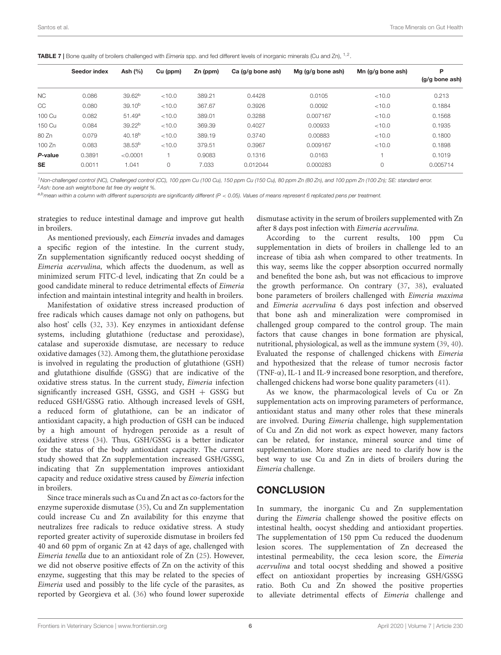<span id="page-5-0"></span>**TABLE 7** | Bone quality of broilers challenged with *Eimeria* spp. and fed different levels of inorganic minerals (Cu and Zn), <sup>1,2</sup>.

|           | Ash (%)<br>Seedor index |                    | Zn (ppm)<br>Cu (ppm) |        | Ca (g/g bone ash) | Mg $(g/g \text{ bone ash})$ | Mn $(q/q)$ bone ash) | P<br>$(q/q)$ bone ash) |
|-----------|-------------------------|--------------------|----------------------|--------|-------------------|-----------------------------|----------------------|------------------------|
|           |                         |                    |                      |        |                   |                             |                      |                        |
| NC.       | 0.086                   | 39.62 <sup>b</sup> | < 10.0               | 389.21 | 0.4428            | 0.0105                      | < 10.0               | 0.213                  |
| CC        | 0.080                   | $39.10^{b}$        | < 10.0               | 367.67 | 0.3926            | 0.0092                      | < 10.0               | 0.1884                 |
| 100 Cu    | 0.082                   | 51.49a             | < 10.0               | 389.01 | 0.3288            | 0.007167                    | < 10.0               | 0.1568                 |
| 150 Cu    | 0.084                   | 39.22 <sup>b</sup> | < 10.0               | 369.39 | 0.4027            | 0.00933                     | < 10.0               | 0.1935                 |
| 80 Zn     | 0.079                   | $40.18^{b}$        | < 10.0               | 389.19 | 0.3740            | 0.00883                     | < 10.0               | 0.1800                 |
| 100 Zn    | 0.083                   | 38.53 <sup>b</sup> | < 10.0               | 379.51 | 0.3967            | 0.009167                    | < 10.0               | 0.1898                 |
| P-value   | 0.3891                  | < 0.0001           |                      | 0.9083 | 0.1316            | 0.0163                      |                      | 0.1019                 |
| <b>SE</b> | 0.0011                  | 1.041              | $\circ$              | 7.033  | 0.012044          | 0.000283                    | 0                    | 0.005714               |

<sup>1</sup> Non-challenged control (NC), Challenged control (CC), 100 ppm Cu (100 Cu), 150 ppm Cu (150 Cu), 80 ppm Zn (80 Zn), and 100 ppm Zn (100 Zn); SE: standard error. <sup>2</sup>Ash: bone ash weight/bone fat free dry weight %.

 $a,b$  mean within a column with different superscripts are significantly different (P < 0.05). Values of means represent 6 replicated pens per treatment.

strategies to reduce intestinal damage and improve gut health in broilers.

As mentioned previously, each Eimeria invades and damages a specific region of the intestine. In the current study, Zn supplementation significantly reduced oocyst shedding of Eimeria acervulina, which affects the duodenum, as well as minimized serum FITC-d level, indicating that Zn could be a good candidate mineral to reduce detrimental effects of Eimeria infection and maintain intestinal integrity and health in broilers.

Manifestation of oxidative stress increased production of free radicals which causes damage not only on pathogens, but also host' cells [\(32,](#page-6-31) [33\)](#page-6-32). Key enzymes in antioxidant defense systems, including glutathione (reductase and peroxidase), catalase and superoxide dismutase, are necessary to reduce oxidative damages [\(32\)](#page-6-31). Among them, the glutathione peroxidase is involved in regulating the production of glutathione (GSH) and glutathione disulfide (GSSG) that are indicative of the oxidative stress status. In the current study, Eimeria infection significantly increased GSH, GSSG, and GSH + GSSG but reduced GSH/GSSG ratio. Although increased levels of GSH, a reduced form of glutathione, can be an indicator of antioxidant capacity, a high production of GSH can be induced by a high amount of hydrogen peroxide as a result of oxidative stress [\(34\)](#page-6-33). Thus, GSH/GSSG is a better indicator for the status of the body antioxidant capacity. The current study showed that Zn supplementation increased GSH/GSSG, indicating that Zn supplementation improves antioxidant capacity and reduce oxidative stress caused by Eimeria infection in broilers.

Since trace minerals such as Cu and Zn act as co-factors for the enzyme superoxide dismutase [\(35\)](#page-7-0), Cu and Zn supplementation could increase Cu and Zn availability for this enzyme that neutralizes free radicals to reduce oxidative stress. A study reported greater activity of superoxide dismutase in broilers fed 40 and 60 ppm of organic Zn at 42 days of age, challenged with Eimeria tenella due to an antioxidant role of Zn [\(25\)](#page-6-24). However, we did not observe positive effects of Zn on the activity of this enzyme, suggesting that this may be related to the species of Eimeria used and possibly to the life cycle of the parasites, as reported by Georgieva et al. [\(36\)](#page-7-1) who found lower superoxide dismutase activity in the serum of broilers supplemented with Zn after 8 days post infection with Eimeria acervulina.

According to the current results, 100 ppm Cu supplementation in diets of broilers in challenge led to an increase of tibia ash when compared to other treatments. In this way, seems like the copper absorption occurred normally and benefited the bone ash, but was not efficacious to improve the growth performance. On contrary [\(37,](#page-7-2) [38\)](#page-7-3), evaluated bone parameters of broilers challenged with Eimeria maxima and Eimeria acervulina 6 days post infection and observed that bone ash and mineralization were compromised in challenged group compared to the control group. The main factors that cause changes in bone formation are physical, nutritional, physiological, as well as the immune system [\(39,](#page-7-4) [40\)](#page-7-5). Evaluated the response of challenged chickens with Eimeria and hypothesized that the release of tumor necrosis factor (TNF-α), IL-1 and IL-9 increased bone resorption, and therefore, challenged chickens had worse bone quality parameters [\(41\)](#page-7-6).

As we know, the pharmacological levels of Cu or Zn supplementation acts on improving parameters of performance, antioxidant status and many other roles that these minerals are involved. During Eimeria challenge, high supplementation of Cu and Zn did not work as expect however, many factors can be related, for instance, mineral source and time of supplementation. More studies are need to clarify how is the best way to use Cu and Zn in diets of broilers during the Eimeria challenge.

#### **CONCLUSION**

In summary, the inorganic Cu and Zn supplementation during the Eimeria challenge showed the positive effects on intestinal health, oocyst shedding and antioxidant properties. The supplementation of 150 ppm Cu reduced the duodenum lesion scores. The supplementation of Zn decreased the intestinal permeability, the ceca lesion score, the Eimeria acervulina and total oocyst shedding and showed a positive effect on antioxidant properties by increasing GSH/GSSG ratio. Both Cu and Zn showed the positive properties to alleviate detrimental effects of Eimeria challenge and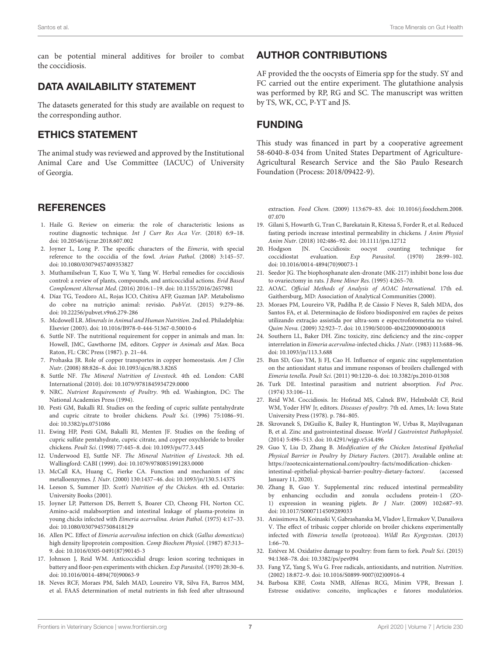can be potential mineral additives for broiler to combat the coccidiosis.

## DATA AVAILABILITY STATEMENT

The datasets generated for this study are available on request to the corresponding author.

## ETHICS STATEMENT

The animal study was reviewed and approved by the Institutional Animal Care and Use Committee (IACUC) of University of Georgia.

## **REFERENCES**

- <span id="page-6-0"></span>1. Haile G. Review on eimeria: the role of characteristic lesions as routine diagnostic technique. Int J Curr Res Aca Ver. (2018) 6:9–18. doi: [10.20546/ijcrar.2018.607.002](https://doi.org/10.20546/ijcrar.2018.607.002)
- <span id="page-6-1"></span>2. Joyner L, Long P. The specific characters of the Eimeria, with special reference to the coccidia of the fowl. Avian Pathol. (2008) 3:145–57. doi: [10.1080/03079457409353827](https://doi.org/10.1080/03079457409353827)
- <span id="page-6-2"></span>3. Muthamilselvan T, Kuo T, Wu Y, Yang W. Herbal remedies for coccidiosis control: a review of plants, compounds, and anticoccidial actions. Evid Based Complement Alternat Med. (2016) 2016:1–19. doi: [10.1155/2016/2657981](https://doi.org/10.1155/2016/2657981)
- <span id="page-6-3"></span>4. Díaz TG, Teodoro AL, Rojas ICO, Chitiva AFP, Guzman JAP. Metabolismo do cobre na nutrição animal: revisão. PubVet. (2015) 9:279–86. doi: [10.22256/pubvet.v9n6.279-286](https://doi.org/10.22256/pubvet.v9n6.279-286)
- <span id="page-6-4"></span>5. Mcdowell LR. Minerals in Animal and Human Nutrition. 2nd ed. Philadelphia: Elsevier (2003). doi: [10.1016/B978-0-444-51367-0.50010-6](https://doi.org/10.1016/B978-0-444-51367-0.50010-6)
- <span id="page-6-5"></span>Suttle NF. The nutritional requirement for copper in animals and man. In: Howell, JMC, Gawthorne JM, editors. Copper in Animals and Man. Boca Raton, FL: CRC Press (1987). p. 21–44.
- <span id="page-6-6"></span>7. Prohaska JR. Role of copper transportes in copper homeostasis. Am J Clin Nutr. (2008) 88:826–8. doi: [10.1093/ajcn/88.3.826S](https://doi.org/10.1093/ajcn/88.3.826S)
- <span id="page-6-7"></span>8. Suttle NF. The Mineral Nutrition of Livestock. 4th ed. London: CABI International (2010). doi: [10.1079/9781845934729.0000](https://doi.org/10.1079/9781845934729.0000)
- <span id="page-6-8"></span>9. NRC. Nutrient Requirements of Poultry. 9th ed. Washington, DC: The National Academies Press (1994).
- <span id="page-6-9"></span>10. Pesti GM, Bakalli RI. Studies on the feeding of cupric sulfate pentahydrate and cupric citrate to broiler chickens. Poult Sci. (1996) 75:1086–91. doi: [10.3382/ps.0751086](https://doi.org/10.3382/ps.0751086)
- <span id="page-6-10"></span>11. Ewing HP, Pesti GM, Bakalli RI, Menten JF. Studies on the feeding of cupric sulfate pentahydrate, cupric citrate, and copper oxychloride to broiler chickens. Poult Sci. (1998) 77:445–8. doi: [10.1093/ps/77.3.445](https://doi.org/10.1093/ps/77.3.445)
- <span id="page-6-11"></span>12. Underwood EJ, Suttle NF. The Mineral Nutrition of Livestock. 3th ed. Wallingford: CABI (1999). doi: [10.1079/9780851991283.0000](https://doi.org/10.1079/9780851991283.0000)
- <span id="page-6-12"></span>13. McCall KA, Huang C, Fierke CA. Function and mechanism of zinc metalloenzymes. J. Nutr. (2000) 130:1437–46. doi: [10.1093/jn/130.5.1437S](https://doi.org/10.1093/jn/130.5.1437S)
- <span id="page-6-13"></span>14. Leeson S, Summer JD. Scott's Nutrition of the Chicken. 4th ed. Ontario: University Books (2001).
- <span id="page-6-14"></span>15. Joyner LP, Patterson DS, Berrett S, Boarer CD, Cheong FH, Norton CC. Amino-acid malabsorption and intestinal leakage of plasma-proteins in young chicks infected with Eimeria acervulina. Avian Pathol. (1975) 4:17–33. doi: [10.1080/03079457508418129](https://doi.org/10.1080/03079457508418129)
- <span id="page-6-15"></span>16. Allen PC. Effect of Eimeria acervulina infection on chick (Gallus domesticus) high density lipoprotein composition. Comp Biochem Physiol. (1987) 87:313– 9. doi: [10.1016/0305-0491\(87\)90145-3](https://doi.org/10.1016/0305-0491(87)90145-3)
- <span id="page-6-16"></span>17. Johnson J, Reid WM. Anticoccidial drugs: lesion scoring techniques in battery and floor-pen experiments with chicken. Exp Parasitol. (1970) 28:30–6. doi: [10.1016/0014-4894\(70\)90063-9](https://doi.org/10.1016/0014-4894(70)90063-9)
- <span id="page-6-17"></span>18. Neves RCF, Moraes PM, Saleh MAD, Loureiro VR, Silva FA, Barros MM, et al. FAAS determination of metal nutrients in fish feed after ultrasound

## AUTHOR CONTRIBUTIONS

AF provided the the oocysts of Eimeria spp for the study. SY and FC carried out the entire experiment. The glutathione analysis was performed by RP, RG and SC. The manuscript was written by TS, WK, CC, P-YT and JS.

# FUNDING

This study was financed in part by a cooperative agreement 58-6040-8-034 from United States Department of Agriculture-Agricultural Research Service and the São Paulo Research Foundation (Process: 2018/09422-9).

extraction. Food Chem[. \(2009\) 113:679–83. doi: 10.1016/j.foodchem.2008.](https://doi.org/10.1016/j.foodchem.2008.07.070) 07.070

- <span id="page-6-18"></span>19. Gilani S, Howarth G, Tran C, Barekatain R, Kitessa S, Forder R, et al. Reduced fasting periods increase intestinal permeability in chickens. J Anim Physiol Anim Nutr. (2018) 102:486–92. doi: [10.1111/jpn.12712](https://doi.org/10.1111/jpn.12712)
- <span id="page-6-19"></span>20. Hodgson JN. Coccidiosis: oocyst counting technique for coccidiostat evaluation. Exp Parasitol. (1970) 28:99-102. coccidiostat evaluation. Exp Parasitol. (1970) 28:99–102. doi: [10.1016/0014-4894\(70\)90073-1](https://doi.org/10.1016/0014-4894(70)90073-1)
- <span id="page-6-20"></span>21. Seedor JG. The biophosphanate alen-dronate (MK-217) inhibit bone loss due to ovariectomy in rats. J Bone Miner Res. (1995) 4:265–70.
- <span id="page-6-21"></span>22. AOAC. Official Methods of Analysis of AOAC International. 17th ed. Gaithersburg, MD: Association of Analytical Communities (2000).
- <span id="page-6-22"></span>23. Moraes PM, Loureiro VR, Padilha P, de Cássio F Neves R, Saleh MDA, dos Santos FA, et al. Determinação de fósforo biodisponível em rações de peixes utilizando extração assistida por ultra-som e espectrofotometria no visível. Quim Nova. (2009) 32:923–7. doi: [10.1590/S0100-40422009000400018](https://doi.org/10.1590/S0100-40422009000400018)
- <span id="page-6-23"></span>24. Southern LL, Baker DH. Zinc toxicity, zinc deficiency and the zinc-copper interrelation in Eimeria acervulina-infected chicks. J Nutr. (1983) 113:688–96. doi: [10.1093/jn/113.3.688](https://doi.org/10.1093/jn/113.3.688)
- <span id="page-6-24"></span>25. Bun SD, Guo YM, Ji FJ, Cao H. Influence of organic zinc supplementation on the antioxidant status and immune responses of broilers challenged with Eimeria tenella. Poult Sci. (2011) 90:1220–6. doi: [10.3382/ps.2010-01308](https://doi.org/10.3382/ps.2010-01308)
- <span id="page-6-25"></span>26. Turk DE. Intestinal parasitism and nutrient absorption. Fed Proc. (1974) 33:106–11.
- <span id="page-6-26"></span>27. Reid WM. Coccidiosis. In: Hofstad MS, Calnek BW, Helmboldt CF, Reid WM, Yoder HW Jr, editors. Diseases of poultry. 7th ed. Ames, IA: Iowa State University Press (1978). p. 784–805.
- <span id="page-6-27"></span>28. Skrovanek S, DiGuilio K, Bailey R, Huntington W, Urbas R, Mayilvaganan B, et al. Zinc and gastrointestinal disease. World J Gastrointest Pathophysiol. (2014) 5:496–513. doi: [10.4291/wjgp.v5.i4.496](https://doi.org/10.4291/wjgp.v5.i4.496)
- <span id="page-6-28"></span>29. Guo Y, Liu D, Zhang B. Modification of the Chicken Intestinal Epithelial Physical Barrier in Poultry by Dietary Factors. (2017). Available online at: [https://zootecnicainternational.com/poultry-facts/modification-chicken](https://zootecnicainternational.com/poultry-facts/modification-chicken-intestinal-epithelial-physical-barrier-poultry-dietary-factors/)[intestinal-epithelial-physical-barrier-poultry-dietary-factors/.](https://zootecnicainternational.com/poultry-facts/modification-chicken-intestinal-epithelial-physical-barrier-poultry-dietary-factors/) (accessed January 11, 2020).
- <span id="page-6-29"></span>30. Zhang B, Guo Y. Supplemental zinc reduced intestinal permeability by enhancing occludin and zonula occludens protein-1 (ZO-1) expression in weaning piglets. Br J Nutr. (2009) 102:687–93. doi: [10.1017/S0007114509289033](https://doi.org/10.1017/S0007114509289033)
- <span id="page-6-30"></span>31. Anissimova M, Koinaski V, Gabrashanska M, Vladov I, Ermakov V, Danailova V. The effect of tribasic copper chloride on broiler chickens experimentally infected with Eimeria tenella (protozoa). Wildl Res Kyrgyzstan. (2013) 1:66–70.
- <span id="page-6-31"></span>32. Estévez M. Oxidative damage to poultry: from farm to fork. Poult Sci. (2015) 94:1368–78. doi: [10.3382/ps/pev094](https://doi.org/10.3382/ps/pev094)
- <span id="page-6-32"></span>33. Fang YZ, Yang S, Wu G. Free radicals, antioxidants, and nutrition. Nutrition. (2002) 18:872–9. doi: [10.1016/S0899-9007\(02\)00916-4](https://doi.org/10.1016/S0899-9007(02)00916-4)
- <span id="page-6-33"></span>34. Barbosa KBF, Costa NMB, Alfenas RCG, Minim VPR, Bressan J. Estresse oxidativo: conceito, implicações e fatores modulatórios.